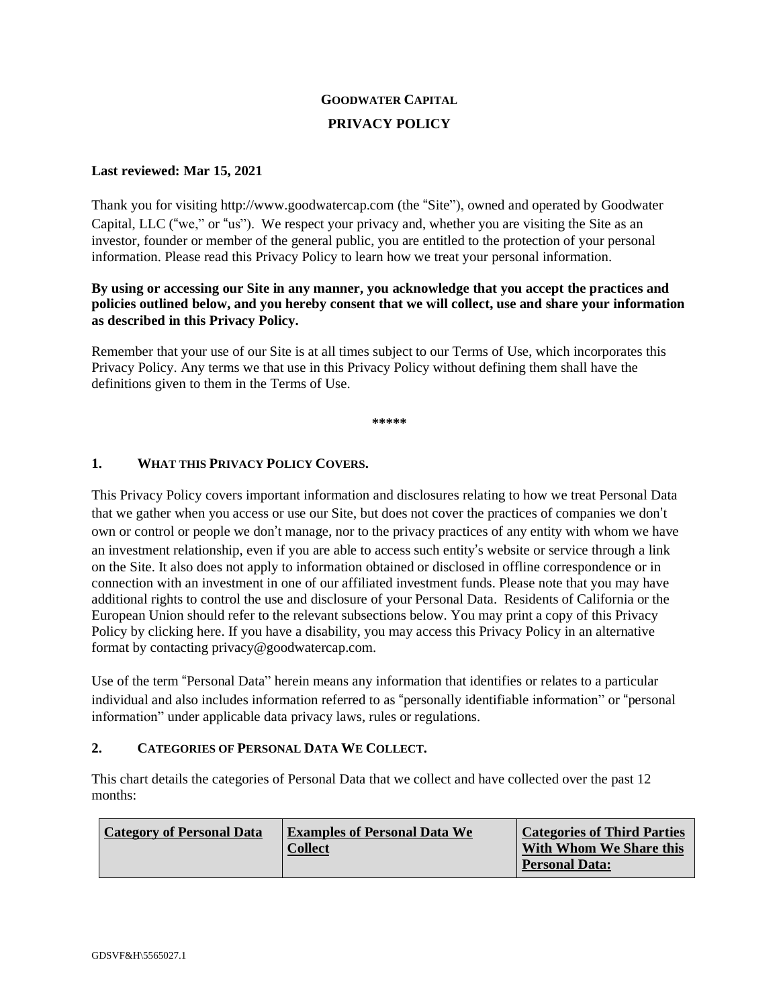# **GOODWATER CAPITAL PRIVACY POLICY**

# **Last reviewed: Mar 15, 2021**

Thank you for visiting http://www.goodwatercap.com (the "Site"), owned and operated by Goodwater Capital, LLC ("we," or "us"). We respect your privacy and, whether you are visiting the Site as an investor, founder or member of the general public, you are entitled to the protection of your personal information. Please read this Privacy Policy to learn how we treat your personal information.

# **By using or accessing our Site in any manner, you acknowledge that you accept the practices and policies outlined below, and you hereby consent that we will collect, use and share your information as described in this Privacy Policy.**

Remember that your use of our Site is at all times subject to our Terms of Use, which incorporates this Privacy Policy. Any terms we that use in this Privacy Policy without defining them shall have the definitions given to them in the Terms of Use.

**\*\*\*\*\***

# **1. WHAT THIS PRIVACY POLICY COVERS.**

This Privacy Policy covers important information and disclosures relating to how we treat Personal Data that we gather when you access or use our Site, but does not cover the practices of companies we don't own or control or people we don't manage, nor to the privacy practices of any entity with whom we have an investment relationship, even if you are able to access such entity's website or service through a link on the Site. It also does not apply to information obtained or disclosed in offline correspondence or in connection with an investment in one of our affiliated investment funds. Please note that you may have additional rights to control the use and disclosure of your Personal Data. Residents of California or the European Union should refer to the relevant subsections below. You may print a copy of this Privacy Policy by clicking here. If you have a disability, you may access this Privacy Policy in an alternative format by contacting privacy@goodwatercap.com.

Use of the term "Personal Data" herein means any information that identifies or relates to a particular individual and also includes information referred to as "personally identifiable information" or "personal information" under applicable data privacy laws, rules or regulations.

# **2. CATEGORIES OF PERSONAL DATA WE COLLECT.**

This chart details the categories of Personal Data that we collect and have collected over the past 12 months:

| <b>Category of Personal Data</b> | <b>Examples of Personal Data We</b> | <b>Categories of Third Parties</b> |
|----------------------------------|-------------------------------------|------------------------------------|
|                                  | <b>Collect</b>                      | With Whom We Share this            |
|                                  |                                     | <b>Personal Data:</b>              |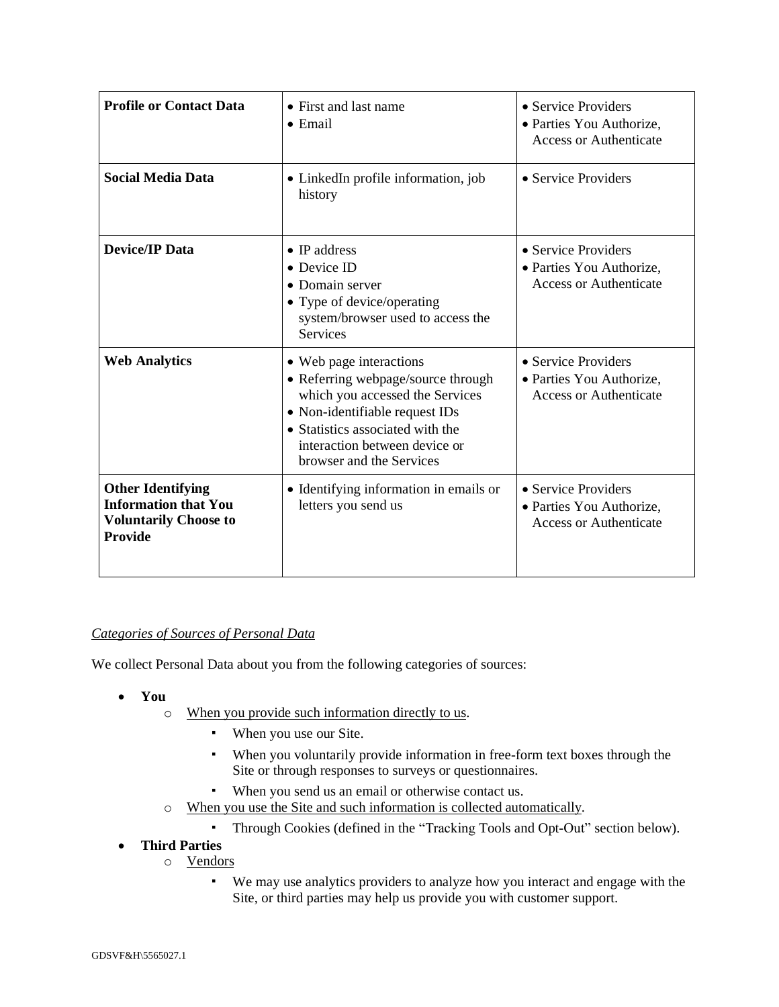| <b>Profile or Contact Data</b>                                                                            | • First and last name<br>$\bullet$ Email                                                                                                                                                                                            | • Service Providers<br>• Parties You Authorize,<br><b>Access or Authenticate</b> |
|-----------------------------------------------------------------------------------------------------------|-------------------------------------------------------------------------------------------------------------------------------------------------------------------------------------------------------------------------------------|----------------------------------------------------------------------------------|
| <b>Social Media Data</b>                                                                                  | • LinkedIn profile information, job<br>history                                                                                                                                                                                      | • Service Providers                                                              |
| <b>Device/IP Data</b>                                                                                     | $\bullet$ IP address<br>• Device ID<br>• Domain server<br>• Type of device/operating<br>system/browser used to access the<br><b>Services</b>                                                                                        | • Service Providers<br>· Parties You Authorize,<br><b>Access or Authenticate</b> |
| <b>Web Analytics</b>                                                                                      | • Web page interactions<br>• Referring webpage/source through<br>which you accessed the Services<br>• Non-identifiable request IDs<br>• Statistics associated with the<br>interaction between device or<br>browser and the Services | • Service Providers<br>• Parties You Authorize,<br><b>Access or Authenticate</b> |
| <b>Other Identifying</b><br><b>Information that You</b><br><b>Voluntarily Choose to</b><br><b>Provide</b> | • Identifying information in emails or<br>letters you send us                                                                                                                                                                       | • Service Providers<br>• Parties You Authorize,<br><b>Access or Authenticate</b> |

# *Categories of Sources of Personal Data*

We collect Personal Data about you from the following categories of sources:

- **You**
	- o When you provide such information directly to us.
		- When you use our Site.
		- When you voluntarily provide information in free-form text boxes through the Site or through responses to surveys or questionnaires.
		- When you send us an email or otherwise contact us.
	- o When you use the Site and such information is collected automatically.
		- Through Cookies (defined in the "Tracking Tools and Opt-Out" section below).
- **Third Parties**
	- o Vendors
		- We may use analytics providers to analyze how you interact and engage with the Site, or third parties may help us provide you with customer support.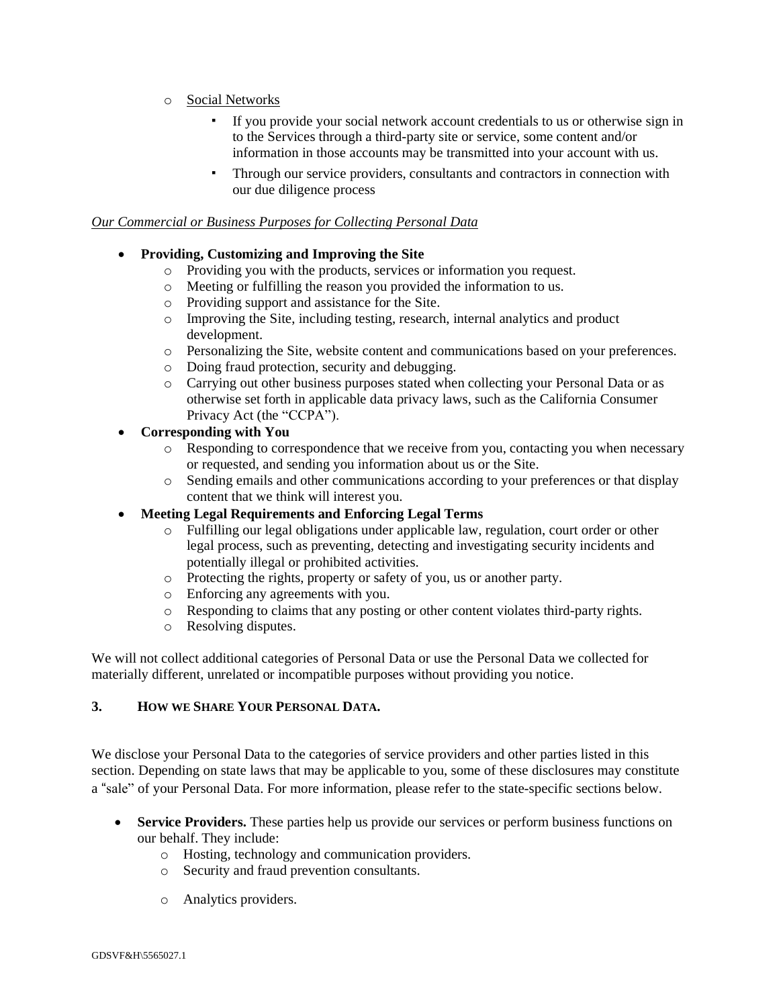- o Social Networks
	- If you provide your social network account credentials to us or otherwise sign in to the Services through a third-party site or service, some content and/or information in those accounts may be transmitted into your account with us.
	- Through our service providers, consultants and contractors in connection with our due diligence process

#### *Our Commercial or Business Purposes for Collecting Personal Data*

- **Providing, Customizing and Improving the Site**
	- o Providing you with the products, services or information you request.
	- o Meeting or fulfilling the reason you provided the information to us.
	- o Providing support and assistance for the Site.
	- o Improving the Site, including testing, research, internal analytics and product development.
	- o Personalizing the Site, website content and communications based on your preferences.
	- o Doing fraud protection, security and debugging.
	- o Carrying out other business purposes stated when collecting your Personal Data or as otherwise set forth in applicable data privacy laws, such as the California Consumer Privacy Act (the "CCPA").

# • **Corresponding with You**

- o Responding to correspondence that we receive from you, contacting you when necessary or requested, and sending you information about us or the Site.
- o Sending emails and other communications according to your preferences or that display content that we think will interest you.
- **Meeting Legal Requirements and Enforcing Legal Terms**
	- o Fulfilling our legal obligations under applicable law, regulation, court order or other legal process, such as preventing, detecting and investigating security incidents and potentially illegal or prohibited activities.
	- o Protecting the rights, property or safety of you, us or another party.
	- o Enforcing any agreements with you.
	- o Responding to claims that any posting or other content violates third-party rights.
	- o Resolving disputes.

We will not collect additional categories of Personal Data or use the Personal Data we collected for materially different, unrelated or incompatible purposes without providing you notice.

# **3. HOW WE SHARE YOUR PERSONAL DATA.**

We disclose your Personal Data to the categories of service providers and other parties listed in this section. Depending on state laws that may be applicable to you, some of these disclosures may constitute a "sale" of your Personal Data. For more information, please refer to the state-specific sections below.

- **Service Providers.** These parties help us provide our services or perform business functions on our behalf. They include:
	- o Hosting, technology and communication providers.
	- o Security and fraud prevention consultants.
	- o Analytics providers.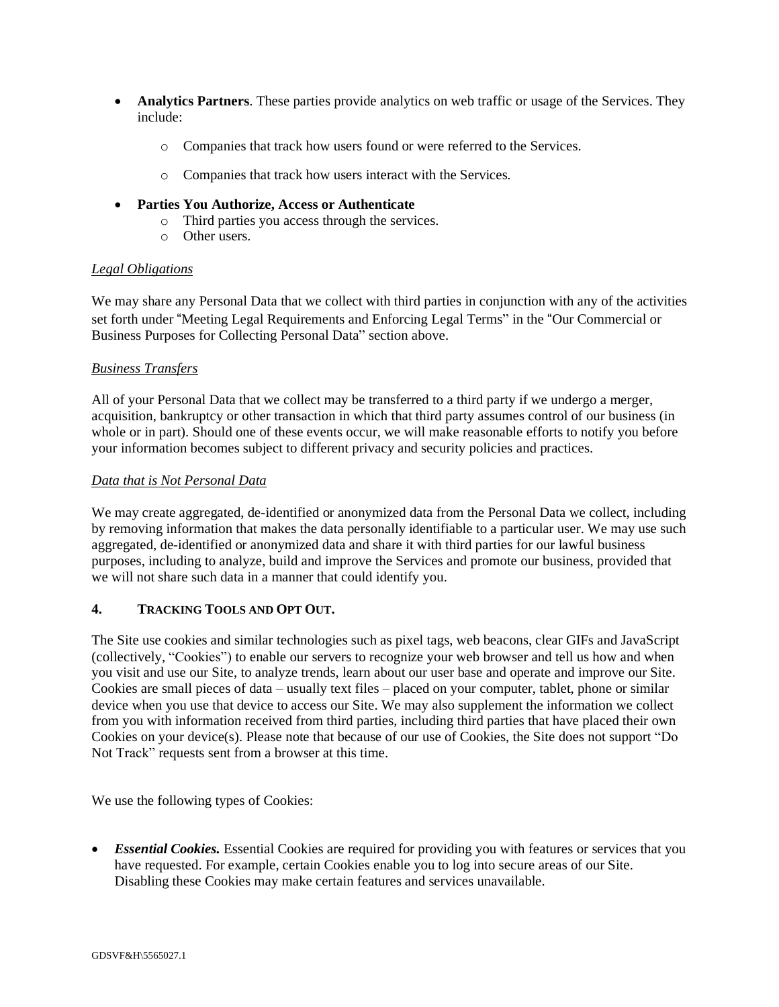- **Analytics Partners**. These parties provide analytics on web traffic or usage of the Services. They include:
	- o Companies that track how users found or were referred to the Services.
	- o Companies that track how users interact with the Services.
- **Parties You Authorize, Access or Authenticate**
	- o Third parties you access through the services.
	- o Other users.

#### *Legal Obligations*

We may share any Personal Data that we collect with third parties in conjunction with any of the activities set forth under "Meeting Legal Requirements and Enforcing Legal Terms" in the "Our Commercial or Business Purposes for Collecting Personal Data" section above.

#### *Business Transfers*

All of your Personal Data that we collect may be transferred to a third party if we undergo a merger, acquisition, bankruptcy or other transaction in which that third party assumes control of our business (in whole or in part). Should one of these events occur, we will make reasonable efforts to notify you before your information becomes subject to different privacy and security policies and practices.

#### *Data that is Not Personal Data*

We may create aggregated, de-identified or anonymized data from the Personal Data we collect, including by removing information that makes the data personally identifiable to a particular user. We may use such aggregated, de-identified or anonymized data and share it with third parties for our lawful business purposes, including to analyze, build and improve the Services and promote our business, provided that we will not share such data in a manner that could identify you.

# **4. TRACKING TOOLS AND OPT OUT.**

The Site use cookies and similar technologies such as pixel tags, web beacons, clear GIFs and JavaScript (collectively, "Cookies") to enable our servers to recognize your web browser and tell us how and when you visit and use our Site, to analyze trends, learn about our user base and operate and improve our Site. Cookies are small pieces of data – usually text files – placed on your computer, tablet, phone or similar device when you use that device to access our Site. We may also supplement the information we collect from you with information received from third parties, including third parties that have placed their own Cookies on your device(s). Please note that because of our use of Cookies, the Site does not support "Do Not Track" requests sent from a browser at this time.

We use the following types of Cookies:

• *Essential Cookies.* Essential Cookies are required for providing you with features or services that you have requested. For example, certain Cookies enable you to log into secure areas of our Site. Disabling these Cookies may make certain features and services unavailable.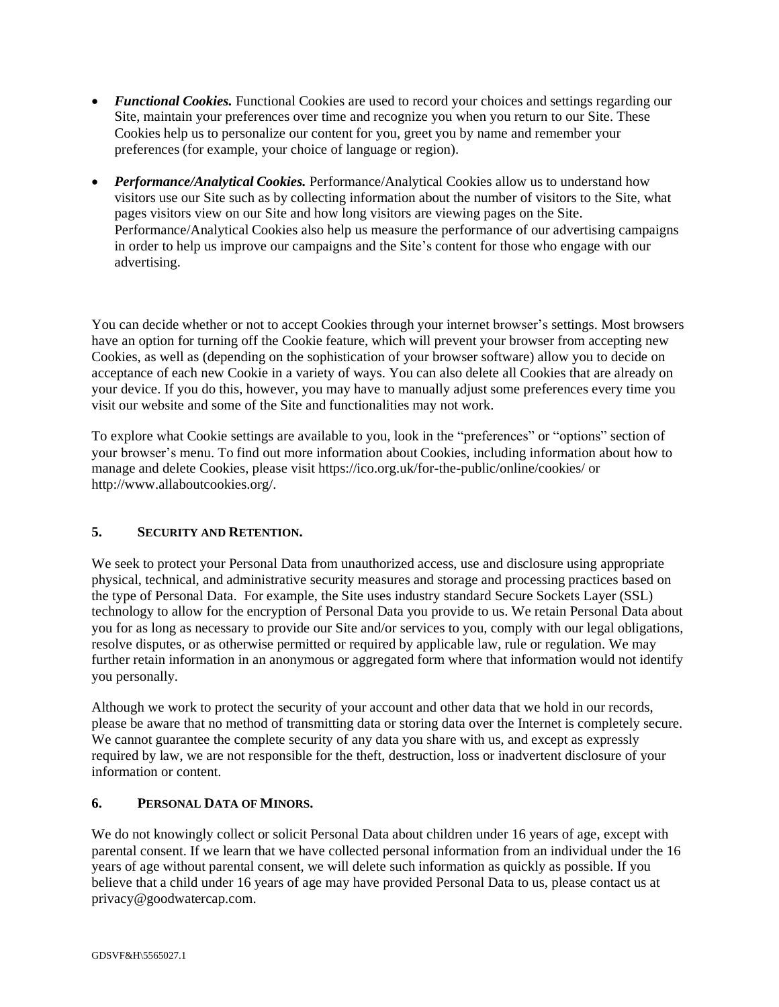- *Functional Cookies*. Functional Cookies are used to record your choices and settings regarding our Site, maintain your preferences over time and recognize you when you return to our Site. These Cookies help us to personalize our content for you, greet you by name and remember your preferences (for example, your choice of language or region).
- *Performance/Analytical Cookies.* Performance/Analytical Cookies allow us to understand how visitors use our Site such as by collecting information about the number of visitors to the Site, what pages visitors view on our Site and how long visitors are viewing pages on the Site. Performance/Analytical Cookies also help us measure the performance of our advertising campaigns in order to help us improve our campaigns and the Site's content for those who engage with our advertising.

You can decide whether or not to accept Cookies through your internet browser's settings. Most browsers have an option for turning off the Cookie feature, which will prevent your browser from accepting new Cookies, as well as (depending on the sophistication of your browser software) allow you to decide on acceptance of each new Cookie in a variety of ways. You can also delete all Cookies that are already on your device. If you do this, however, you may have to manually adjust some preferences every time you visit our website and some of the Site and functionalities may not work.

To explore what Cookie settings are available to you, look in the "preferences" or "options" section of your browser's menu. To find out more information about Cookies, including information about how to manage and delete Cookies, please visit https://ico.org.uk/for-the-public/online/cookies/ or [http://www.allaboutcookies.org/.](http://www.allaboutcookies.org/)

# **5. SECURITY AND RETENTION.**

We seek to protect your Personal Data from unauthorized access, use and disclosure using appropriate physical, technical, and administrative security measures and storage and processing practices based on the type of Personal Data. For example, the Site uses industry standard Secure Sockets Layer (SSL) technology to allow for the encryption of Personal Data you provide to us. We retain Personal Data about you for as long as necessary to provide our Site and/or services to you, comply with our legal obligations, resolve disputes, or as otherwise permitted or required by applicable law, rule or regulation. We may further retain information in an anonymous or aggregated form where that information would not identify you personally.

Although we work to protect the security of your account and other data that we hold in our records, please be aware that no method of transmitting data or storing data over the Internet is completely secure. We cannot guarantee the complete security of any data you share with us, and except as expressly required by law, we are not responsible for the theft, destruction, loss or inadvertent disclosure of your information or content.

# **6. PERSONAL DATA OF MINORS.**

We do not knowingly collect or solicit Personal Data about children under 16 years of age, except with parental consent. If we learn that we have collected personal information from an individual under the 16 years of age without parental consent, we will delete such information as quickly as possible. If you believe that a child under 16 years of age may have provided Personal Data to us, please contact us at privacy@goodwatercap.com.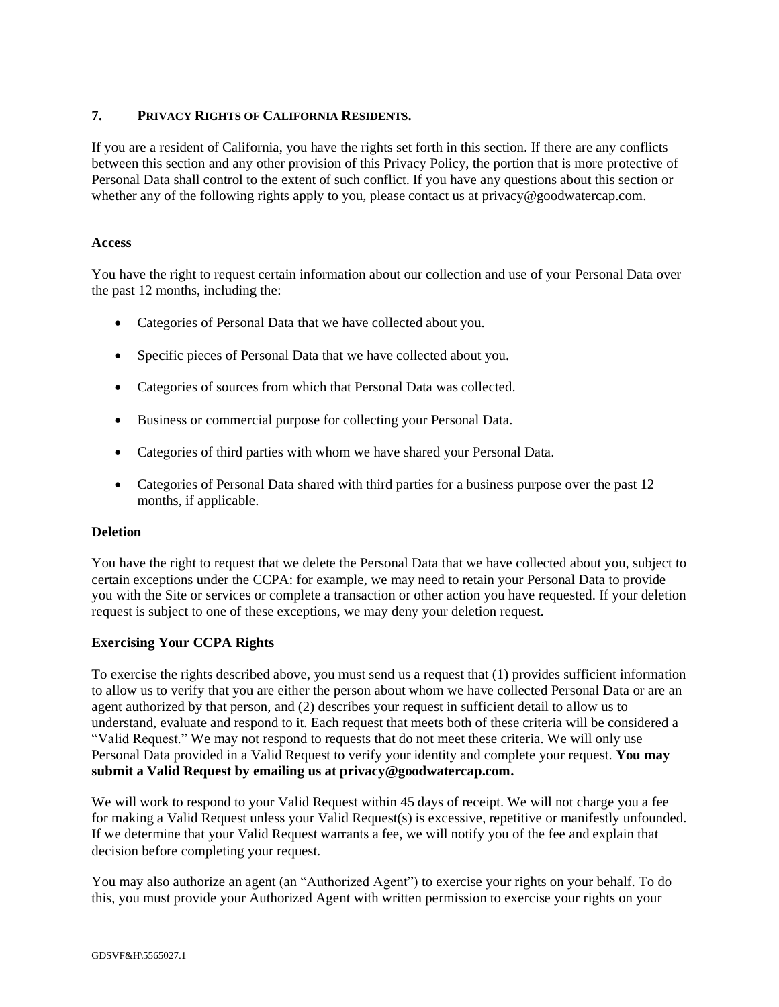# **7. PRIVACY RIGHTS OF CALIFORNIA RESIDENTS.**

If you are a resident of California, you have the rights set forth in this section. If there are any conflicts between this section and any other provision of this Privacy Policy, the portion that is more protective of Personal Data shall control to the extent of such conflict. If you have any questions about this section or whether any of the following rights apply to you, please contact us at privacy@goodwatercap.com.

#### **Access**

You have the right to request certain information about our collection and use of your Personal Data over the past 12 months, including the:

- Categories of Personal Data that we have collected about you.
- Specific pieces of Personal Data that we have collected about you.
- Categories of sources from which that Personal Data was collected.
- Business or commercial purpose for collecting your Personal Data.
- Categories of third parties with whom we have shared your Personal Data.
- Categories of Personal Data shared with third parties for a business purpose over the past 12 months, if applicable.

# **Deletion**

You have the right to request that we delete the Personal Data that we have collected about you, subject to certain exceptions under the CCPA: for example, we may need to retain your Personal Data to provide you with the Site or services or complete a transaction or other action you have requested. If your deletion request is subject to one of these exceptions, we may deny your deletion request.

# **Exercising Your CCPA Rights**

To exercise the rights described above, you must send us a request that (1) provides sufficient information to allow us to verify that you are either the person about whom we have collected Personal Data or are an agent authorized by that person, and (2) describes your request in sufficient detail to allow us to understand, evaluate and respond to it. Each request that meets both of these criteria will be considered a "Valid Request." We may not respond to requests that do not meet these criteria. We will only use Personal Data provided in a Valid Request to verify your identity and complete your request. **You may submit a Valid Request by emailing us at privacy@goodwatercap.com.**

We will work to respond to your Valid Request within 45 days of receipt. We will not charge you a fee for making a Valid Request unless your Valid Request(s) is excessive, repetitive or manifestly unfounded. If we determine that your Valid Request warrants a fee, we will notify you of the fee and explain that decision before completing your request.

You may also authorize an agent (an "Authorized Agent") to exercise your rights on your behalf. To do this, you must provide your Authorized Agent with written permission to exercise your rights on your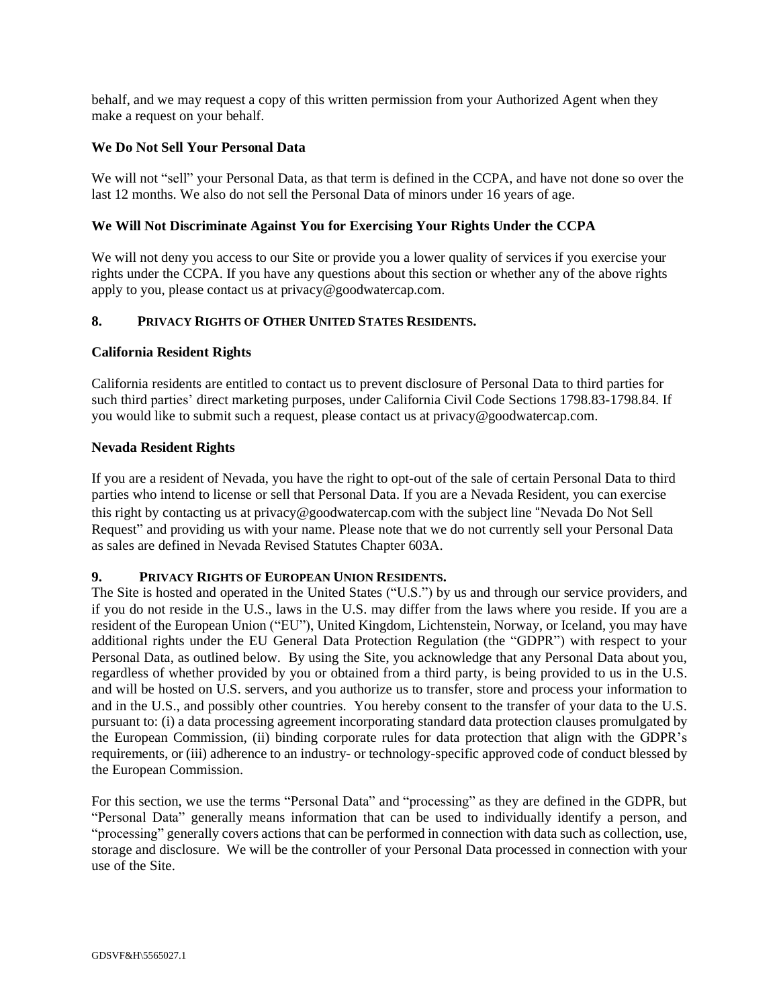behalf, and we may request a copy of this written permission from your Authorized Agent when they make a request on your behalf.

#### **We Do Not Sell Your Personal Data**

We will not "sell" your Personal Data, as that term is defined in the CCPA, and have not done so over the last 12 months. We also do not sell the Personal Data of minors under 16 years of age.

#### **We Will Not Discriminate Against You for Exercising Your Rights Under the CCPA**

We will not deny you access to our Site or provide you a lower quality of services if you exercise your rights under the CCPA. If you have any questions about this section or whether any of the above rights apply to you, please contact us at privacy@goodwatercap.com.

#### **8. PRIVACY RIGHTS OF OTHER UNITED STATES RESIDENTS.**

#### **California Resident Rights**

California residents are entitled to contact us to prevent disclosure of Personal Data to third parties for such third parties' direct marketing purposes, under California Civil Code Sections 1798.83-1798.84. If you would like to submit such a request, please contact us at privacy@goodwatercap.com.

#### **Nevada Resident Rights**

If you are a resident of Nevada, you have the right to opt-out of the sale of certain Personal Data to third parties who intend to license or sell that Personal Data. If you are a Nevada Resident, you can exercise this right by contacting us at privacy@goodwatercap.com with the subject line "Nevada Do Not Sell Request" and providing us with your name. Please note that we do not currently sell your Personal Data as sales are defined in Nevada Revised Statutes Chapter 603A.

#### **9. PRIVACY RIGHTS OF EUROPEAN UNION RESIDENTS.**

The Site is hosted and operated in the United States ("U.S.") by us and through our service providers, and if you do not reside in the U.S., laws in the U.S. may differ from the laws where you reside. If you are a resident of the European Union ("EU"), United Kingdom, Lichtenstein, Norway, or Iceland, you may have additional rights under the EU General Data Protection Regulation (the "GDPR") with respect to your Personal Data, as outlined below. By using the Site, you acknowledge that any Personal Data about you, regardless of whether provided by you or obtained from a third party, is being provided to us in the U.S. and will be hosted on U.S. servers, and you authorize us to transfer, store and process your information to and in the U.S., and possibly other countries. You hereby consent to the transfer of your data to the U.S. pursuant to: (i) a data processing agreement incorporating standard data protection clauses promulgated by the European Commission, (ii) binding corporate rules for data protection that align with the GDPR's requirements, or (iii) adherence to an industry- or technology-specific approved code of conduct blessed by the European Commission.

For this section, we use the terms "Personal Data" and "processing" as they are defined in the GDPR, but "Personal Data" generally means information that can be used to individually identify a person, and "processing" generally covers actions that can be performed in connection with data such as collection, use, storage and disclosure. We will be the controller of your Personal Data processed in connection with your use of the Site.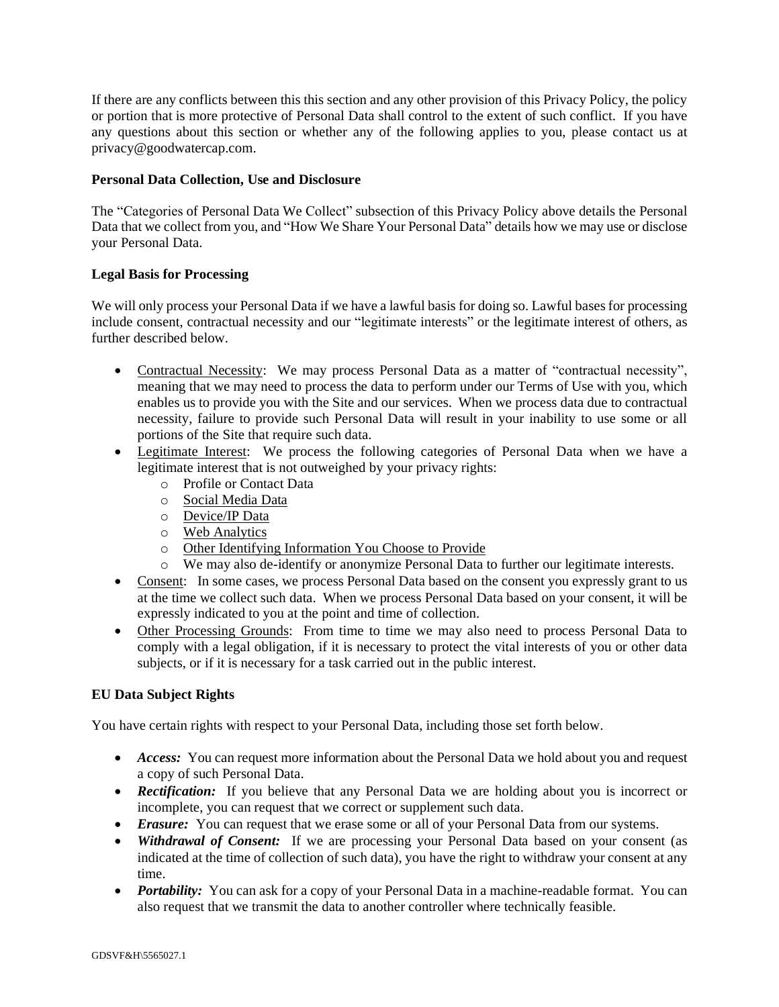If there are any conflicts between this this section and any other provision of this Privacy Policy, the policy or portion that is more protective of Personal Data shall control to the extent of such conflict. If you have any questions about this section or whether any of the following applies to you, please contact us at privacy@goodwatercap.com.

# **Personal Data Collection, Use and Disclosure**

The "Categories of Personal Data We Collect" subsection of this Privacy Policy above details the Personal Data that we collect from you, and "How We Share Your Personal Data" details how we may use or disclose your Personal Data.

# **Legal Basis for Processing**

We will only process your Personal Data if we have a lawful basis for doing so. Lawful bases for processing include consent, contractual necessity and our "legitimate interests" or the legitimate interest of others, as further described below.

- Contractual Necessity: We may process Personal Data as a matter of "contractual necessity", meaning that we may need to process the data to perform under our Terms of Use with you, which enables us to provide you with the Site and our services. When we process data due to contractual necessity, failure to provide such Personal Data will result in your inability to use some or all portions of the Site that require such data.
- Legitimate Interest: We process the following categories of Personal Data when we have a legitimate interest that is not outweighed by your privacy rights:
	- o Profile or Contact Data
	- o Social Media Data
	- o Device/IP Data
	- o Web Analytics
	- o Other Identifying Information You Choose to Provide
	- o We may also de-identify or anonymize Personal Data to further our legitimate interests.
- Consent: In some cases, we process Personal Data based on the consent you expressly grant to us at the time we collect such data. When we process Personal Data based on your consent, it will be expressly indicated to you at the point and time of collection.
- Other Processing Grounds: From time to time we may also need to process Personal Data to comply with a legal obligation, if it is necessary to protect the vital interests of you or other data subjects, or if it is necessary for a task carried out in the public interest.

# **EU Data Subject Rights**

You have certain rights with respect to your Personal Data, including those set forth below.

- *Access:* You can request more information about the Personal Data we hold about you and request a copy of such Personal Data.
- *Rectification:* If you believe that any Personal Data we are holding about you is incorrect or incomplete, you can request that we correct or supplement such data.
- *Erasure:* You can request that we erase some or all of your Personal Data from our systems.
- *Withdrawal of Consent:* If we are processing your Personal Data based on your consent (as indicated at the time of collection of such data), you have the right to withdraw your consent at any time.
- *Portability:* You can ask for a copy of your Personal Data in a machine-readable format. You can also request that we transmit the data to another controller where technically feasible.